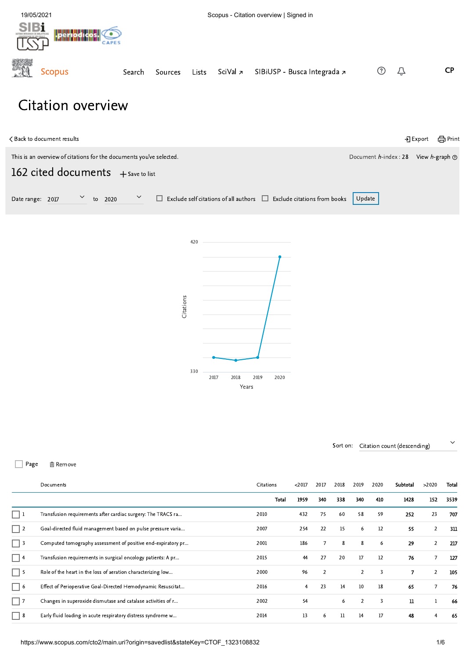<span id="page-0-0"></span>

# Citation overview

| く Back to document results                                                                                                                         |                       | <del>合</del> Print<br><b>→</b> ] Export |
|----------------------------------------------------------------------------------------------------------------------------------------------------|-----------------------|-----------------------------------------|
| This is an overview of citations for the documents you've selected.<br>162 cited documents $+$ Save to list                                        | Document h-index : 28 | View <i>h</i> -graph $\circledcirc$     |
| $\checkmark$<br>$\checkmark$<br>$\Box$ Exclude self citations of all authors $\Box$ Exclude citations from books<br>2020<br>Date range: 2017<br>to | Update                |                                         |
| 420<br>Citations                                                                                                                                   |                       |                                         |

Sort on: Citation count (descending)

□ Page 面 Remove

|                   | Documents                                                    |      | $2017$ | 2017           | 2018 | 2019           | 2020 | Subtotal | >2020          | Total |
|-------------------|--------------------------------------------------------------|------|--------|----------------|------|----------------|------|----------|----------------|-------|
|                   |                                                              |      | 1959   | 340            | 338  | 340            | 410  | 1428     | 152            | 3539  |
| $\vert$ $\vert$ 1 | Transfusion requirements after cardiac surgery: The TRACS ra | 2010 | 432    | 75             | 60   | 58             | 59   | 252      | 23             | 707   |
| $\vert$ $\vert$ 2 | Goal-directed fluid management based on pulse pressure varia | 2007 | 254    | 22             | 15   | 6              | 12   | 55       | $\overline{2}$ | 311   |
| $\Box$ 3          | Computed tomography assessment of positive end-expiratory pr | 2001 | 186    | $\overline{7}$ | 8    | 8              | 6    | 29       | $\overline{2}$ | 217   |
| $\Box$ 4          | Transfusion requirements in surgical oncology patients: A pr | 2015 | 44     | 27             | 20   | 17             | 12   | 76       | $\overline{7}$ | 127   |
| $\Box$ 5          | Role of the heart in the loss of aeration characterizing low | 2000 | 96     | 2              |      | 2              | 3    | 7        | $\overline{2}$ | 105   |
| $\Box$ 6          | Effect of Perioperative Goal-Directed Hemodynamic Resuscitat | 2016 | 4      | 23             | 14   | 10             | 18   | 65       | 7              | 76    |
| $\Box$ 7          | Changes in superoxide dismutase and catalase activities of r | 2002 | 54     |                | 6    | $\overline{2}$ | 3    | 11       |                | 66    |
| - 8               | Early fluid loading in acute respiratory distress syndrome w | 2014 | 13     | 6              | 11   | 14             | 17   | 48       | 4              | 65    |

Years

2017 2018 2019 2020

330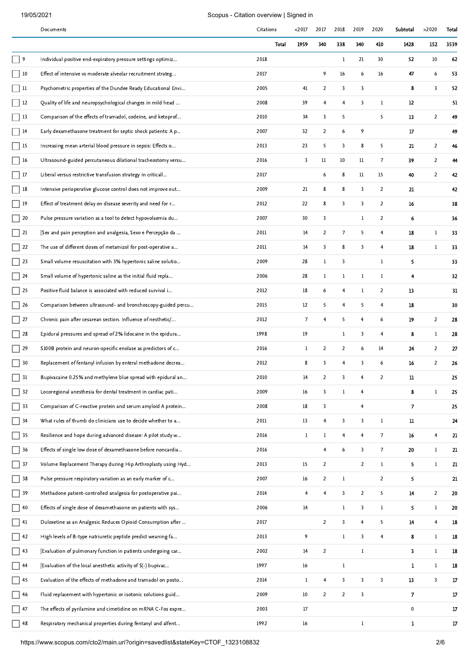|                  | Documents                                                    | Citations |       | $2017$         | 2017                    | 2018                    | 2019                    | 2020           | Subtotal     | >2020          | Total    |
|------------------|--------------------------------------------------------------|-----------|-------|----------------|-------------------------|-------------------------|-------------------------|----------------|--------------|----------------|----------|
|                  |                                                              |           | Total | 1959           | 340                     | 338                     | 340                     | 410            | 1428         | 152            | 3539     |
| 9                | Individual positive end-expiratory pressure settings optimiz | 2018      |       |                |                         | $\mathbf{1}$            | 21                      | 30             | 52           | 10             | 62       |
| $\Box$ 10        | Effect of intensive vs moderate alveolar recruitment strateg | 2017      |       |                | 9                       | 16                      | 6                       | 16             | 47           | 6              | 53       |
| □ 11             | Psychometric properties of the Dundee Ready Educational Envi | 2005      |       | 41             | $\overline{2}$          | 3                       | 3                       |                | 8            | 3              | 52       |
| $\Box$ 12        | Quality of life and neuropsychological changes in mild head  | 2008      |       | 39             | $\overline{4}$          | $\overline{4}$          | 3                       | $\mathbf{1}$   | 12           |                | 51       |
| 7 13             | Comparison of the effects of tramadol, codeine, and ketoprof | 2010      |       | 34             | 3                       | 5                       |                         | 5              | 13           | $\overline{2}$ | 49       |
| $\Box$ 14        | Early dexamethasone treatment for septic shock patients: A p | 2007      |       | 32             | $\overline{2}$          | 6                       | 9                       |                | 17           |                | 49       |
| ] 15             | Increasing mean arterial blood pressure in sepsis: Effects o | 2013      |       | 23             | 5                       | $\overline{\mathbf{3}}$ | 8                       | 5              | 21           | $\overline{2}$ | 46       |
| $\vert$ 16       | Ultrasound-guided percutaneous dilational tracheostomy versu | 2016      |       | 3              | $_{11}$                 | 10                      | 11                      | 7              | 39           | $\overline{2}$ | 44       |
| $\Box$ 17        | Liberal versus restrictive transfusion strategy in criticall | 2017      |       |                | 6                       | 8                       | 11                      | 15             | 40           | $\overline{2}$ | 42       |
| 18               | Intensive perioperative glucose control does not improve out | 2009      |       | 21             | 8                       | 8                       | 3                       | $\overline{2}$ | 21           |                | 42       |
| 19               | Effect of treatment delay on disease severity and need for r | 2012      |       | 22             | 8                       | 3                       | 3                       | $\overline{2}$ | 16           |                | 38       |
| 20               | Pulse pressure variation as a tool to detect hypovolaemia du | 2007      |       | 30             | 3                       |                         | 1                       | $\overline{2}$ | 6            |                | 36       |
| $\Box$ 21        | [Sex and pain perception and analgesia, Sexo e Percepção da  | 2011      |       | 14             | $\overline{2}$          | $\sqrt{ }$              | 5                       | 4              | 18           | $\,1$          | 33       |
| $\Box$ 22        | The use of different doses of metamizol for post-operative a | 2011      |       | 14             | 3                       | 8                       | 3                       | 4              | 18           | 1              | 33       |
| $\Box$ 23        | Small volume resuscitation with 3% hypertonic saline solutio | 2009      |       | 28             | 1                       | 3                       |                         | 1              | 5.           |                | 33       |
| $\Box$ 24        | Small volume of hypertonic saline as the initial fluid repla | 2006      |       | 28             | $\mathbf{1}$            | $\mathbf{1}$            | 1                       | $\mathbf{1}$   | 4            |                | 32       |
| 25               | Positive fluid balance is associated with reduced survival i | 2012      |       | 18             | 6                       | $\overline{4}$          | 1                       | $\overline{2}$ | 13           |                | 31       |
| $\Box$ 26        | Comparison between ultrasound- and bronchoscopy-guided percu | 2015      |       | 12             | 5                       | $\overline{4}$          | 5                       | $\overline{4}$ | 18           |                | 30       |
| $\Box$ 27        | Chronic pain after cesarean section. Influence of nesthetic/ | 2012      |       | $\overline{7}$ | 4                       | 5                       | $\overline{4}$          | 6              | 19           | $\overline{2}$ | 28       |
| 28               | Epidural pressures and spread of 2% lidocaine in the epidura | 1998      |       | 19             |                         | 1                       | 3                       | $\overline{4}$ | 8            | 1              | 28       |
| 29               | S100B protein and neuron-specific enolase as predictors of c | 2016      |       | 1              | $\overline{2}$          | $\overline{2}$          | 6                       | 14             | 24           | $\overline{2}$ | 27       |
| 30               | Replacement of fentanyl infusion by enteral methadone decrea | 2012      |       | 8              | 3                       | $\overline{4}$          | 3                       | 6              | 16           | $\overline{2}$ | 26       |
| 31               | Bupivacaine 0.25% and methylene blue spread with epidural an | 2010      |       | 14             | 2                       | 3                       |                         | 2              | п            |                | 25       |
| $\frac{1}{2}$ 32 | Locoregional anesthesia for dental treatment in cardiac pati | 2009      |       | 16             | $\overline{\mathbf{3}}$ | $\bf 1$                 | $\overline{4}$          |                | 8            | $\mathbf{1}$   | 25       |
| $\Box$ 33        | Comparison of C-reactive protein and serum amyloid A protein | 2008      |       | 18             | $\overline{\mathbf{3}}$ |                         | $\overline{4}$          |                | 7            |                | 25       |
| $\Box$ 34        | What rules of thumb do clinicians use to decide whether to a | 2011      |       | 13             | $\overline{4}$          | 3                       | 3                       | $\mathbf{1}$   | 11           |                | 24       |
| $\frac{1}{2}$ 35 | Resilience and hope during advanced disease: A pilot study w | 2016      |       | $\mathbf{1}$   | $\mathbf{1}$            | $\overline{4}$          | $\overline{\mathbf{4}}$ | $\overline{7}$ | 16           | $\overline{4}$ | 21       |
| $\Box$ 36        | Effects of single low dose of dexamethasone before noncardia | 2016      |       |                | $\overline{4}$          | 6                       | 3                       | 7 <sup>7</sup> | 20           | 1              | 21       |
| 37               | Volume Replacement Therapy during Hip Arthroplasty using Hyd | 2013      |       | 15             | $\overline{2}$          |                         | $\overline{2}$          | $\mathbf{1}$   | 5            | $\bf 1$        | 21       |
| 38               | Pulse pressure respiratory variation as an early marker of c | 2007      |       | 16             | $\overline{2}$          | $\bf{l}$                |                         | $\overline{2}$ | 5.           |                | 21       |
| 739              | Methadone patient-controlled analgesia for postoperative pai | 2014      |       | $\overline{4}$ | $\overline{4}$          | 3                       | $\overline{2}$          | 5              | 14           | $\overline{2}$ | 20       |
| $\Box$ 40        | Effects of single dose of dexamethasone on patients with sys | 2006      |       | 14             |                         | 1                       | 3                       | $\mathbf{1}$   | 5.           | $\mathbf{1}$   | 20       |
| $\Box$ 41        | Duloxetine as an Analgesic Reduces Opioid Consumption after  | 2017      |       |                | $\overline{2}$          | 3                       | $\overline{4}$          | 5              | 14           | $\overline{4}$ | $18\,$   |
| 42               | High levels of B-type natriuretic peptide predict weaning fa | 2013      |       | 9              |                         | $\mathbf{1}$            | 3                       | $\overline{4}$ | 8            | $\mathbf{1}$   | 18       |
| $\vert$ 43       | [Evaluation of pulmonary function in patients undergoing car | 2002      |       | 14             | $\overline{2}$          |                         | 1                       |                | 3.           | $\mathbf{1}$   | 18       |
| □ 44             | [Evaluation of the local anesthetic activity of S(-) bupivac | 1997      |       | 16             |                         | $\,1$                   |                         |                | 1            | $\mathbf 1$    | 18       |
| $\Box$ 45        | Evaluation of the effects of methadone and tramadol on posto | 2014      |       | 1              | $\overline{4}$          | 3                       | 3                       | 3              | 13           | 3              | $17\,$   |
| $\Box$ 46        | Fluid replacement with hypertonic or isotonic solutions guid | 2009      |       | $10\,$         | $\overline{2}$          | $\overline{2}$          | 3                       |                | 7            |                | $17\,$   |
| $\Box$ 47        | The effects of pyrilamine and cimetidine on mRNA C-Fos expre | 2003      |       | $17\,$         |                         |                         |                         |                | $\mathbf 0$  |                | 17       |
| 48               | Respiratory mechanical properties during fentanyl and alfent | 1992      |       | 16             |                         |                         | 1                       |                | $\mathbf{1}$ |                | $1\!\!7$ |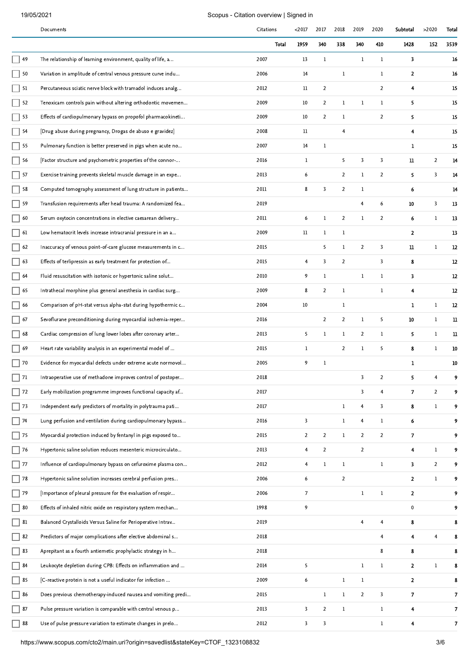|                                           | Documents                                                    | Citations | $2017$                  | 2017           | 2018           | 2019           | 2020           | Subtotal                | >2020          | Total        |
|-------------------------------------------|--------------------------------------------------------------|-----------|-------------------------|----------------|----------------|----------------|----------------|-------------------------|----------------|--------------|
|                                           |                                                              | Total     | 1959                    | 340            | 338            | 340            | 410            | 1428                    | 152            | 3539         |
| $\vert$ 49                                | The relationship of learning environment, quality of life, a | 2007      | 13                      | $\mathbf{1}$   |                | 1              | 1              | 3.                      |                | 16           |
| $\overline{ }$ 50                         | Variation in amplitude of central venous pressure curve indu | 2006      | 14                      |                | $\mathbf{1}$   |                | 1              | $\mathbf{z}$            |                | 16           |
| $\begin{bmatrix} 51 \end{bmatrix}$        | Percutaneous sciatic nerve block with tramadol induces analg | 2012      | $_{11}$                 | $\overline{2}$ |                |                | $\overline{2}$ | 4                       |                | 15           |
| $\Box$ 52                                 | Tenoxicam controls pain without altering orthodontic movemen | 2009      | 10                      | $\overline{2}$ | $\mathbf{1}$   | 1              | $\mathbf{1}$   | 5                       |                | 15           |
| $\overline{\phantom{0}}$ 53               | Effects of cardiopulmonary bypass on propofol pharmacokineti | 2009      | 10                      | $\overline{2}$ | 1              |                | $\overline{2}$ | 5                       |                | 15           |
| $\Box$ 54                                 | [Drug abuse during pregnancy, Drogas de abuso e gravidez]    | 2008      | $11\phantom{.0}$        |                | $\overline{4}$ |                |                | 4                       |                | 15           |
| $\Box$ 55                                 | Pulmonary function is better preserved in pigs when acute no | 2007      | 14                      | $\mathbf 1$    |                |                |                | 1                       |                | 15           |
| $\Box$ 56                                 | [Factor structure and psychometric properties of the connor- | 2016      | $\mathbf{1}$            |                | 5              | 3              | 3              | 11                      | $\overline{2}$ | 14           |
| $\overline{)}$ 57                         | Exercise training prevents skeletal muscle damage in an expe | 2013      | 6                       |                | $\overline{2}$ | $\mathbf{1}$   | $\overline{2}$ | 5.                      | 3              | 14           |
| $\sqrt{58}$                               | Computed tomography assessment of lung structure in patients | 2011      | 8                       | 3              | $\overline{2}$ | 1              |                | 6                       |                | 14           |
| $\Box$ 59                                 | Transfusion requirements after head trauma: A randomized fea | 2019      |                         |                |                | 4              | 6              | 10                      | 3              | 13           |
| 60                                        | Serum oxytocin concentrations in elective caesarean delivery | 2011      | 6                       | 1              | $\overline{2}$ | 1              | $\overline{2}$ | 6                       | 1              | 13           |
|                                           | Low hematocrit levels increase intracranial pressure in an a | 2009      | $_{11}$                 | $\mathbf{1}$   | $\mathbf{1}$   |                |                | $\mathbf{2}$            |                | 13           |
| $\overline{)}$ 62                         | Inaccuracy of venous point-of-care glucose measurements in c | 2015      |                         | 5              | $\mathbf{1}$   | $\overline{2}$ | 3              | 11                      | 1              | 12           |
| $\vert$ 63                                | Effects of terlipressin as early treatment for protection of | 2015      | 4                       | 3              | $\overline{2}$ |                | 3              | 8                       |                | 12           |
| $\Box$ 64                                 | Fluid resuscitation with isotonic or hypertonic saline solut | 2010      | 9                       | $\mathbf{1}$   |                | $\mathbf{1}$   | $\mathbf{1}$   | 3                       |                | 12           |
| $\vert$ 65                                | Intrathecal morphine plus general anesthesia in cardiac surg | 2009      | 8                       | $\overline{2}$ | $\mathbf{1}$   |                | $\mathbf{1}$   | 4                       |                | 12           |
| $\Box$ 66                                 | Comparison of pH-stat versus alpha-stat during hypothermic c | 2004      | 10                      |                | $\mathbf{1}$   |                |                | 1                       | 1              | 12           |
| $\Box$ 67                                 | Sevoflurane preconditioning during myocardial ischemia-reper | 2016      |                         | $\overline{2}$ | $\overline{2}$ | $\mathbf{1}$   | 5              | 10                      | $\mathbf{1}$   | n            |
| $\Box$ 68                                 | Cardiac compression of lung lower lobes after coronary arter | 2013      | 5                       | $\mathbf 1$    | $\mathbf 1$    | $\overline{2}$ | 1              | 5                       | 1              | п            |
| $\overline{\phantom{0}}$ 69               | Heart rate variability analysis in an experimental model of  | 2015      | $\mathbf{1}$            |                | $\overline{2}$ | $\mathbf 1$    | 5              | 8                       | $\mathbf{1}$   | 10           |
| $\Box$ 70                                 | Evidence for myocardial defects under extreme acute normovol | 2005      | 9                       | 1              |                |                |                | 1                       |                | 10           |
| $\Box$ 71                                 | Intraoperative use of methadone improves control of postoper | 2018      |                         |                |                | 3              | $\overline{2}$ |                         |                |              |
| $\Box$ 72                                 | Early mobilization programme improves functional capacity af | 2017      |                         |                |                | 3              | $\overline{4}$ | 7                       | $\overline{2}$ | 9            |
| $\Box$ 73                                 | Independent early predictors of mortality in polytrauma pati | 2017      |                         |                | $\mathbf{1}$   | $\overline{4}$ | 3              | 8                       | $\mathbf{1}$   | 9            |
| $\overline{\phantom{a}}$ 74               | Lung perfusion and ventilation during cardiopulmonary bypass | 2016      | 3                       |                | $\mathbf{1}$   | $\overline{4}$ | $\mathbf{1}$   | 6.                      |                | 9            |
| $\Box$ 75                                 | Myocardial protection induced by fentanyl in pigs exposed to | 2015      | $\overline{2}$          | $\overline{2}$ | $\mathbf 1$    | $\overline{2}$ | $\overline{2}$ | 7                       |                | 9            |
| $\Box$ 76                                 | Hypertonic saline solution reduces mesenteric microcirculato | 2013      | $\overline{4}$          | $\overline{2}$ |                | $\overline{2}$ |                | $\overline{\mathbf{4}}$ | $\mathbf{1}$   | 9            |
| $\Box$ 77                                 | Influence of cardiopulmonary bypass on cefuroxime plasma con | 2012      | $\overline{4}$          | $\bf{l}$       | $\bf{l}$       |                | $\mathbf{1}$   | 3                       | $\overline{2}$ | 9            |
| $\Box$ 78                                 | Hypertonic saline solution increases cerebral perfusion pres | 2006      | 6                       |                | $\overline{2}$ |                |                | $\mathbf{z}$            | $\mathbf{1}$   | 9            |
| $\Box$ 79                                 | [Importance of pleural pressure for the evaluation of respir | 2006      | $\mathcal{I}$           |                |                | $1\,$          | $\bf{l}$       | $\mathbf{2}$            |                | 9            |
| $\Box$ 80                                 | Effects of inhaled nitric oxide on respiratory system mechan | 1998      | 9                       |                |                |                |                | $\pmb{0}$               |                | 9            |
| $\overline{\phantom{a}}$ 81               | Balanced Crystalloids Versus Saline for Perioperative Intrav | 2019      |                         |                |                | $\overline{4}$ | $\overline{4}$ | 8                       |                | 8            |
| $\Box$ 82                                 | Predictors of major complications after elective abdominal s | 2018      |                         |                |                |                | $\overline{4}$ | $\blacktriangleleft$    | 4              | 8            |
| 83                                        | Aprepitant as a fourth antiemetic prophylactic strategy in h | 2018      |                         |                |                |                | 8              | 8                       |                | 8            |
| $\overline{\phantom{0}}$ 84               | Leukocyte depletion during CPB: Effects on inflammation and  | 2014      | 5                       |                |                | $\mathbf 1$    | $\mathbf{1}$   | $\mathbf{2}$            | $\mathbf 1$    | 8            |
| $\begin{array}{c} \boxed{85} \end{array}$ | [C-reactive protein is not a useful indicator for infection  | 2009      | 6                       |                | $\mathbf 1$    | 1              |                | $\mathbf{z}$            |                | 8            |
| $\overline{)}86$                          | Does previous chemotherapy-induced nausea and vomiting predi | 2015      |                         | $\mathbf{1}$   | $\mathbf{1}$   | $\overline{2}$ | 3              | 7                       |                | 7            |
| $\frac{1}{87}$                            | Pulse pressure variation is comparable with central venous p | 2013      | 3                       | $\overline{2}$ | $\mathbf{1}$   |                | $\mathbf{1}$   | 4                       |                | 7            |
| 88                                        | Use of pulse pressure variation to estimate changes in prelo | 2012      | $\overline{\mathbf{3}}$ | 3              |                |                | $\mathbf{1}$   | $\overline{\mathbf{4}}$ |                | $\mathcal T$ |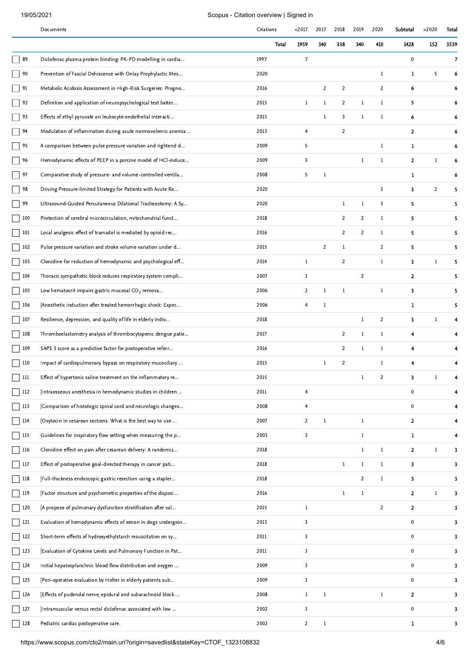|               | Documents                                                    | Citations |       | $2017$                  | 2017           | 2018           | 2019           | 2020           | Subtotal       | >2020 | Total |
|---------------|--------------------------------------------------------------|-----------|-------|-------------------------|----------------|----------------|----------------|----------------|----------------|-------|-------|
|               |                                                              |           | Total | 1959                    | 340            | 338            | 340            | 410            | 1428           | 152   | 3539  |
| 89            | Diclofenac plasma protein binding: PK-PD modelling in cardia | 1997      |       | $7\overline{ }$         |                |                |                |                | $\mathbf 0$    |       | 7     |
| 90            | Prevention of Fascial Dehiscence with Onlay Prophylactic Mes | 2020      |       |                         |                |                |                | $\mathbf{1}$   | $\mathbf{1}$   | 5     | 6     |
| $\vert$ 91    | Metabolic Acidosis Assessment in High-Risk Surgeries: Progno | 2016      |       |                         | $\overline{2}$ | $\overline{2}$ |                | $\overline{2}$ | 6              |       | 6     |
| $\frac{1}{2}$ | Definition and application of neuropsychological test batter | 2015      |       | $\mathbf{1}$            | $\mathbf{1}$   | $\overline{2}$ | $\mathbf{1}$   | $\mathbf{1}$   | 5              |       | 6     |
| 93            | Effects of ethyl pyruvate on leukocyte-endothelial interacti | 2015      |       |                         | $\mathbf{1}$   | $\overline{3}$ | 1              | $\mathbf{1}$   | 6              |       |       |
| 94            | Modulation of inflammation during acute normovolemic anemia  | 2013      |       | $\overline{4}$          |                | $\overline{2}$ |                |                | $\mathbf{2}$   |       | 6     |
| 95            | A comparison between pulse pressure variation and rightend d | 2009      |       | 5                       |                |                |                | $\mathbf{1}$   | $\mathbf{1}$   |       | 6     |
| 96            | Hemodynamic effects of PEEP in a porcine model of HCI-induce | 2009      |       | 3                       |                |                | 1              | 1              | $\mathbf{2}$   | 1     | 6     |
| 97            | Comparative study of pressure- and volume-controlled ventila | 2008      |       | 5                       | $\mathbf{1}$   |                |                |                | 1              |       | 6     |
| 98            | Driving Pressure-limited Strategy for Patients with Acute Re | 2020      |       |                         |                |                |                | 3              | 3              | 2     | 5     |
| 99            | Ultrasound-Guided Percutaneous Dilational Tracheostomy: A Sy | 2020      |       |                         |                | $\mathbf{1}$   | $\,1$          | 3              | 5              |       | 5     |
| 100           | Protection of cerebral microcirculation, mitochondrial funct | 2018      |       |                         |                | $\overline{2}$ | $\overline{2}$ | 1              | 5              |       | 5     |
| 101           | Local analgesic effect of tramadol is mediated by opioid rec | 2016      |       |                         |                | $\overline{2}$ | $\overline{2}$ | $\mathbf{1}$   | 5.             |       | 5     |
| 102           | Pulse pressure variation and stroke volume variation under d | 2015      |       |                         | $\overline{2}$ | 1              |                | $\overline{2}$ | 5              |       | 5     |
| 103           | Clonidine for reduction of hemodynamic and psychological eff | 2014      |       | 1                       |                | $\overline{2}$ |                | 1              | 3              | 1     | 5     |
| 104           | Thoracic sympathetic block reduces respiratory system compli | 2007      |       | $\overline{\mathbf{3}}$ |                |                | $\overline{2}$ |                | $\mathbf{2}$   |       | 5     |
| 105           | Low hematocrit impairs gastric mucosal $CO2$ remova          | 2006      |       | $\overline{2}$          | $\mathbf{1}$   | $\mathbf{1}$   |                | $\mathbf{1}$   | 3              |       | 5     |
| 106           | [Anesthetic induction after treated hemorrhagic shock: Exper | 2006      |       | $\overline{4}$          | $\mathbf{1}$   |                |                |                | $\mathbf{1}$   |       | 5     |
| 107           | Resilience, depression, and quality of life in elderly indiv | 2018      |       |                         |                |                | 1              | $\overline{2}$ | 3              | 1     |       |
| 108           | Thromboelastometry analysis of thrombocytopenic dengue patie | 2017      |       |                         |                | $\overline{2}$ | 1              | 1              | 4              |       |       |
| 109           | SAPS 3 score as a predictive factor for postoperative referr | 2016      |       |                         |                | 2              | $\mathbf{1}$   | $\mathbf{1}$   | 4              |       |       |
| 110           | Impact of cardiopulmonary bypass on respiratory mucociliary  | 2015      |       |                         | $\mathbf 1$    | $\overline{2}$ |                | $\mathbf{1}$   | $\overline{4}$ |       |       |
| $111\,$       | Effect of hypertonic saline treatment on the inflammatory re | 2015      |       |                         |                |                | $\,1$          | $\overline{2}$ | 3              | 1     |       |
| 112           | [Intraosseous anesthesia in hemodynamic studies in children  | 2011      |       | 4                       |                |                |                |                | $\mathbf{0}$   |       |       |
| 113           | [Comparison of histologic spinal cord and neurologic changes | 2008      |       | $\overline{4}$          |                |                |                |                | $\mathbf{0}$   |       |       |
| 7 114         | [Oxytocin in cesarean sections. What is the best way to use  | 2007      |       | $\overline{2}$          | $\mathbf 1$    |                | $\mathbf{1}$   |                | $\mathbf{2}$   |       |       |
| 115           | Guidelines for inspiratory flow setting when measuring the p | 2003      |       | $\overline{\mathbf{3}}$ |                |                | $\,1$          |                | $\mathbf{I}$   |       | 4     |
|               |                                                              |           |       |                         |                |                |                |                |                |       |       |
| 116           | Clonidine effect on pain after cesarean delivery: A randomiz | 2018      |       |                         |                |                | $\mathbf{1}$   | $\mathbf{1}$   | $\mathbf{2}$   | 1     | 3     |
| $\vert$ 117   | Effect of postoperative goal-directed therapy in cancer pati | 2018      |       |                         |                | $\mathbf{1}$   | $\mathbf{1}$   | $\mathbf{1}$   | 3              |       | 3     |
| 118           | [Full-thickness endoscopic gastric resection using a stapler | 2018      |       |                         |                |                | $\overline{2}$ | $\mathbf{1}$   | 3              |       | 3     |
| 119           | [Factor structure and psychometric properties of the disposi | 2016      |       |                         |                | $\mathbf{1}$   | $\mathbf{1}$   |                | $\mathbf{2}$   | 1     | 3     |
| 120           | [A propose of pulmonary dysfunction stratification after val | 2015      |       | $\mathbf{1}$            |                |                |                | $\overline{2}$ | $\overline{2}$ |       | 3     |
| 121           | Evaluation of hemodynamic effects of xenon in dogs undergoin | 2013      |       | 3                       |                |                |                |                | $\mathbf 0$    |       | 3     |
| $\vert$ 122   | Short-term effects of hydroxyethylstarch resuscitation on sy | 2011      |       | $\overline{\mathbf{3}}$ |                |                |                |                | $\mathbf 0$    |       | 3     |
| $123$         | [Evaluation of Cytokine Levels and Pulmonary Function in Pat | 2011      |       | 3                       |                |                |                |                | $\mathbf{0}$   |       | 3     |
| 124           | Initial hepatosplanchnic blood flow distribution and oxygen  | 2009      |       | $\overline{\mathbf{3}}$ |                |                |                |                | $\mathbf 0$    |       | 3     |
| 125           | [Peri-operative evaluation by Holter in elderly patients sub | 2009      |       | $\overline{\mathbf{3}}$ |                |                |                |                | $\mathbf 0$    |       | 3     |
| 126           | [Effects of pudendal nerve, epidural and subarachnoid block  | 2008      |       | $\mathbf{1}$            | $\bf{l}$       |                |                | $\mathbf{1}$   | $\mathbf{2}$   |       | 3     |
| 127           | [Intramuscular versus rectal diclofenac associated with low  | 2002      |       | $\overline{\mathbf{3}}$ |                |                |                |                | $\pmb{0}$      |       | 3     |
| 128           | Pediatric cardiac postoperative care.                        | 2002      |       | $\overline{2}$          | $\mathbf 1$    |                |                |                | $\mathbf{1}$   |       | 3     |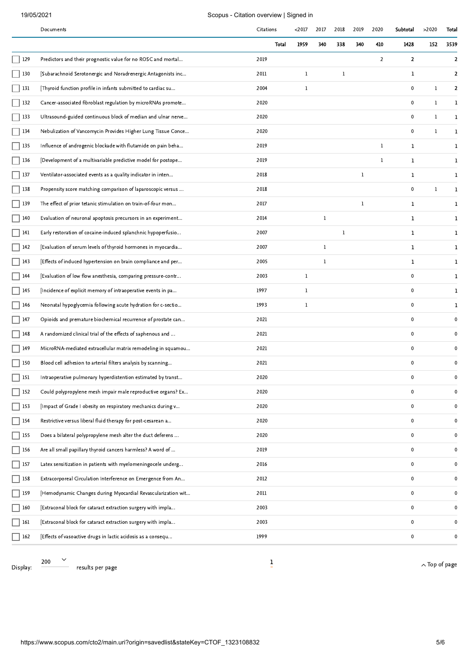|             | Documents                                                    | Citations      | $2017$       | 2017         | 2018         | 2019    | 2020           | Subtotal     | >2020                | Total        |
|-------------|--------------------------------------------------------------|----------------|--------------|--------------|--------------|---------|----------------|--------------|----------------------|--------------|
|             |                                                              | Total          | 1959         | 340          | 338          | 340     | 410            | 1428         | 152                  | 3539         |
| 129         | Predictors and their prognostic value for no ROSC and mortal | 2019           |              |              |              |         | $\overline{2}$ | $\mathbf{z}$ |                      | 2            |
| 130         | [Subarachnoid Serotonergic and Noradrenergic Antagonists inc | 2011           | 1            |              | $\mathbf{1}$ |         |                | $\mathbf{1}$ |                      | 2            |
| 131         | [Thyroid function profile in infants submitted to cardiac su | 2004           | 1            |              |              |         |                | $\mathbf{0}$ | 1                    | $\mathbf{2}$ |
| 132         | Cancer-associated fibroblast regulation by microRNAs promote | 2020           |              |              |              |         |                | $\mathbf 0$  | 1                    | 1            |
| 133         | Ultrasound-guided continuous block of median and ulnar nerve | 2020           |              |              |              |         |                | $\mathbf{0}$ | 1                    | 1            |
| $\vert$ 134 | Nebulization of Vancomycin Provides Higher Lung Tissue Conce | 2020           |              |              |              |         |                | $\mathbf{0}$ | $\mathbf{1}$         | 1            |
| 135         | Influence of androgenic blockade with flutamide on pain beha | 2019           |              |              |              |         | $\mathbf{1}$   | 1            |                      | 1            |
| 136         | [Development of a multivariable predictive model for postope | 2019           |              |              |              |         | $\mathbf{1}$   | 1            |                      | 1            |
| 137         | Ventilator-associated events as a quality indicator in inten | 2018           |              |              |              | 1       |                | 1            |                      | 1            |
| 138         | Propensity score matching comparison of laparoscopic versus  | 2018           |              |              |              |         |                | $\mathbf 0$  | 1                    | 1            |
| 139         | The effect of prior tetanic stimulation on train-of-four mon | 2017           |              |              |              | $\bf 1$ |                | 1            |                      | 1            |
| 140         | Evaluation of neuronal apoptosis precursors in an experiment | 2014           |              | 1            |              |         |                | 1.           |                      | 1            |
| 141         | Early restoration of cocaine-induced splanchnic hypoperfusio | 2007           |              |              | $\mathbf{1}$ |         |                | $\mathbf{1}$ |                      | 1            |
| 142         | [Evaluation of serum levels of thyroid hormones in myocardia | 2007           |              | $\mathbf{1}$ |              |         |                | 1            |                      | 1            |
| 143         | [Effects of induced hypertension on brain compliance and per | 2005           |              | 1            |              |         |                | 1            |                      | 1            |
| 144         | [Evaluation of low flow anesthesia, comparing pressure-contr | 2003           | $\mathbf 1$  |              |              |         |                | $\mathbf{0}$ |                      | 1            |
| 145         | [Incidence of explicit memory of intraoperative events in pa | 1997           | $\mathbf{1}$ |              |              |         |                | $\mathbf 0$  |                      | 1            |
| 146         | Neonatal hypoglycemia following acute hydration for c-sectio | 1993           | $\mathbf{1}$ |              |              |         |                | $\mathbf{0}$ |                      | 1            |
| 147         | Opioids and premature biochemical recurrence of prostate can | 2021           |              |              |              |         |                | $\mathbf 0$  |                      | $\mathbf 0$  |
| 148         | A randomized clinical trial of the effects of saphenous and  | 2021           |              |              |              |         |                | $\mathbf{0}$ |                      | $\mathbf 0$  |
| 149         | MicroRNA-mediated extracellular matrix remodeling in squamou | 2021           |              |              |              |         |                | $\mathbf 0$  |                      | $\mathbf 0$  |
| 150         | Blood cell adhesion to arterial filters analysis by scanning | 2021           |              |              |              |         |                | $\mathbf 0$  |                      | $\mathbf 0$  |
| 151         | Intraoperative pulmonary hyperdistention estimated by transt | 2020           |              |              |              |         |                | $\mathbf 0$  |                      | $\pmb{0}$    |
| $152$       | Could polypropylene mesh impair male reproductive organs? Ex | 2020           |              |              |              |         |                | $\mathbf 0$  |                      | $\pmb{0}$    |
| 153         | [Impact of Grade I obesity on respiratory mechanics during v | 2020           |              |              |              |         |                | $\mathbf 0$  |                      | 0            |
| $\vert$ 154 | Restrictive versus liberal fluid therapy for post-cesarean a | 2020           |              |              |              |         |                | $\mathbf 0$  |                      | $\mathbf 0$  |
| 155         | Does a bilateral polypropylene mesh alter the duct deferens  | 2020           |              |              |              |         |                | $\mathbf 0$  |                      | $\pmb{0}$    |
| $\vert$ 156 | Are all small papillary thyroid cancers harmless? A word of  | 2019           |              |              |              |         |                | $\mathbf 0$  |                      | $\pmb{0}$    |
| $\vert$ 157 | Latex sensitization in patients with myelomeningocele underg | 2016           |              |              |              |         |                | $\mathbf 0$  |                      | $\mathbf 0$  |
| 158         | Extracorporeal Circulation Interference on Emergence from An | 2012           |              |              |              |         |                | $\mathbf{0}$ |                      | 0            |
| 159         | [Hemodynamic Changes during Myocardial Revascularization wit | 2011           |              |              |              |         |                | $\mathbf 0$  |                      | $\mathbf 0$  |
| 160         | [Extraconal block for cataract extraction surgery with impla | 2003           |              |              |              |         |                | $\mathbf 0$  |                      | 0            |
| 161         | [Extraconal block for cataract extraction surgery with impla | 2003           |              |              |              |         |                | $\mathbf 0$  |                      | $\bf{0}$     |
| $\vert$ 162 | [Effects of vasoactive drugs in lactic acidosis as a consequ | 1999           |              |              |              |         |                | $\pmb{0}$    |                      | $\mathbf 0$  |
|             |                                                              |                |              |              |              |         |                |              |                      |              |
| Display:    | 200<br>results per page                                      | $\overline{1}$ |              |              |              |         |                |              | $\wedge$ Top of page |              |